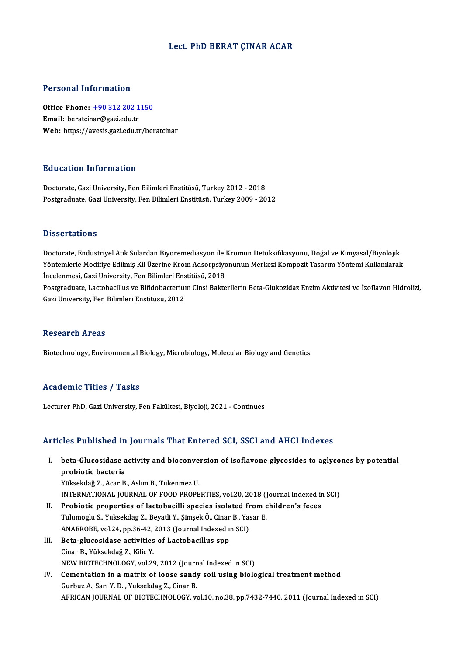# Lect. PhD BERAT ÇINAR ACAR

# Personal Information

Personal Information<br>Office Phone: <u>+90 312 202 1150</u><br>Email: berateiner@sari.edu.tr 1 ST SOMAT THEST MARTIST<br>Office Phone: <u>+90 312 202 1</u><br>Email: beratci[nar@gazi.edu.tr](tel:+90 312 202 1150) Email: beratcinar@gazi.edu.tr<br>Web: https://avesis.gazi.edu.tr/beratcinar

# Education Information

Doctorate, Gazi University, Fen Bilimleri Enstitüsü, Turkey 2012 - 2018 Postgraduate, Gazi University, Fen Bilimleri Enstitüsü, Turkey 2009 - 2012

### **Dissertations**

Doctorate, Endüstriyel Atık Sulardan Biyoremediasyon ile Kromun Detoksifikasyonu, Doğal ve Kimyasal/Biyolojik D'isser tatrems<br>Doctorate, Endüstriyel Atık Sulardan Biyoremediasyon ile Kromun Detoksifikasyonu, Doğal ve Kimyasal/Biyolojik<br>Yöntemlerle Modifiye Edilmiş Kil Üzerine Krom Adsorpsiyonunun Merkezi Kompozit Tasarım Yöntemi K Doctorate, Endüstriyel Atık Sulardan Biyoremediasyon ile l<br>Yöntemlerle Modifiye Edilmiş Kil Üzerine Krom Adsorpsiyo<br>İncelenmesi, Gazi University, Fen Bilimleri Enstitüsü, 2018<br>Postsraduate Lastebasillus ve Bifidebastarium Postgraduate, Lactobacillus ve Bifidobacterium Cinsi Bakterilerin Beta-Glukozidaz Enzim Aktivitesi ve İzoflavon Hidrolizi,<br>Gazi University, Fen Bilimleri Enstitüsü, 2012 İncelenmesi, Gazi University, Fen Bilimleri Enstitüsü, 2018

### Research Areas

Biotechnology, Environmental Biology, Microbiology, Molecular Biology and Genetics

# Academic Titles / Tasks

Lecturer PhD, Gazi University, Fen Fakültesi, Biyoloji, 2021 - Continues

# Articles Published in Journals That Entered SCI, SSCI and AHCI Indexes

- rticles Published in Journals That Entered SCI, SSCI and AHCI Indexes<br>I. beta-Glucosidase activity and bioconversion of isoflavone glycosides to aglycones by potential<br>Represents probiotic bacteria<br>probiotic bacteria<br>vükeekdağ 7. Acap B beta-Glucosidase activity and bioconve<br>probiotic bacteria<br>Yüksekdağ Z., Acar B., Aslım B., Tukenmez U.<br>INTERNATIONAL JOURNAL OF FOOD PROPE probiotic bacteria<br>Intesekdağ Z., Acar B., Aslım B., Tukenmez U.<br>INTERNATIONAL JOURNAL OF FOOD PROPERTIES, vol.20, 2018 (Journal Indexed in SCI) Yüksekdağ Z., Acar B., Aslım B., Tukenmez U.<br>INTERNATIONAL JOURNAL OF FOOD PROPERTIES, vol.20, 2018 (Journal Indexed in<br>II. Probiotic properties of lactobacilli species isolated from children's feces<br>Tulumerly S. Vuksekdag
- INTERNATIONAL JOURNAL OF FOOD PROPERTIES, vol.20, 2018 (J<br>Probiotic properties of lactobacilli species isolated from c<br>Tulumoglu S., Yuksekdag Z., Beyatli Y., Şimşek Ö., Cinar B., Yasar E.<br>ANAEPOPE vol.24, pp.26.42, 2012 ( Probiotic properties of lactobacilli species isolated fr<br>Tulumoglu S., Yuksekdag Z., Beyatli Y., Şimşek Ö., Cinar B., Yas<br>ANAEROBE, vol.24, pp.36-42, 2013 (Journal Indexed in SCI)<br>Bete glueosidase estivities of Lastabasill Tulumoglu S., Yuksekdag Z., Beyatli Y., Şimşek Ö., Cinar<br>ANAEROBE, vol.24, pp.36-42, 2013 (Journal Indexed in<br>III. Beta-glucosidase activities of Lactobacillus spp<br>Cinar B. Vüksekdağ Z. Kika V.
- ANAEROBE, vol.24, pp.36-42,<br>Beta-glucosidase activities<br>Cinar B., Yüksekdağ Z., Kilic Y.<br>NEW PIOTECHNOLOCY, vol.28 Cinar B., Yüksekdağ Z., Kilic Y.<br>NEW BIOTECHNOLOGY, vol.29, 2012 (Journal Indexed in SCI)
- Cinar B., Yüksekdağ Z., Kilic Y.<br>NEW BIOTECHNOLOGY, vol.29, 2012 (Journal Indexed in SCI)<br>IV. Cementation in a matrix of loose sandy soil using biological treatment method NEW BIOTECHNOLOGY, vol.29, 2012 (Journ<br>Cementation in a matrix of loose sandy<br>Gurbuz A., Sarı Y. D., Yuksekdag Z., Cinar B.<br>AERICAN JOURNAL OF BIOTECHNOLOGY V Gurbuz A., Sarı Y. D. , Yuksekdag Z., Cinar B.<br>AFRICAN JOURNAL OF BIOTECHNOLOGY, vol.10, no.38, pp.7432-7440, 2011 (Journal Indexed in SCI)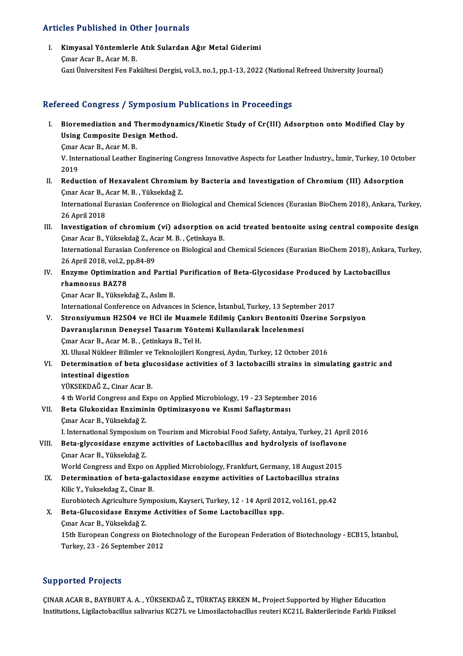# Articles Published in Other Journals

rticles Published in Other Journals<br>I. Kimyasal Yöntemlerle Atık Sulardan Ağır Metal Giderimi<br>Cuar Agar B. Agar M. B Kimyasal Yöntemlerle<br>Cinar Acar B., Acar M. B.<br>Cari Üniversitesi Fon Fol Çınar Acar B., Acar M. B.<br>Gazi Üniversitesi Fen Fakültesi Dergisi, vol.3, no.1, pp.1-13, 2022 (National Refreed University Journal)

# Refereed Congress / Symposium Publications in Proceedings

- efereed Congress / Symposium Publications in Proceedings<br>I. Bioremediation and Thermodynamics/Kinetic Study of Cr(III) Adsorption onto Modified Clay by<br>Using Composite Design Method Bioremediation and Thermodyna<br>Using Composite Design Method. **Bioremediation and T<br>Using Composite Desi<br>Cmar Acar B., Acar M. B.**<br>W. International Leather
	- Çınar Acar B., Acar M. B.

Using Composite Design Method.<br>Çınar Acar B., Acar M. B.<br>V. International Leather Enginering Congress Innovative Aspects for Leather Industry., İzmir, Turkey, 10 October<br>2019 V. International Leather Enginering Congress Innovative Aspects for Leather Industry., İzmir, Turkey, 10 Octol<br>2019<br>II. Reduction of Hexavalent Chromium by Bacteria and Investigation of Chromium (III) Adsorption<br>2018 Agen

- 2019<br>Reduction of Hexavalent Chromiur<br>Çınar Acar B., Acar M. B. , Yüksekdağ Z.<br>International Euresian Cenference en L Reduction of Hexavalent Chromium by Bacteria and Investigation of Chromium (III) Adsorption<br>Çınar Acar B., Acar M. B. , Yüksekdağ Z.<br>International Eurasian Conference on Biological and Chemical Sciences (Eurasian BioChem 2 Cinar Acar B., *I*<br>International E<br>26 April 2018<br>Investigation International Eurasian Conference on Biological and Chemical Sciences (Eurasian BioChem 2018), Ankara, Turkey,<br>26 April 2018<br>III. Investigation of chromium (vi) adsorption on acid treated bentonite using central composite
- 26 April 2018<br>III. Investigation of chromium (vi) adsorption on acid treated bentonite using central composite design<br>Cunar Acar B., Yüksekdağ Z., Acar M. B. , Çetinkaya B. Investigation of chromium (vi) adsorption on acid treated bentonite using central composite design<br>Çınar Acar B., Yüksekdağ Z., Acar M. B. , Çetinkaya B.<br>International Eurasian Conference on Biological and Chemical Science Çınar Acar B., Yüksekdağ Z., Ac<br>International Eurasian Confere<br>26 April 2018, vol.2, pp.84-89<br>Engume Ontimination and B 26 April 2018, vol 2, pp 84-89
- IV. Enzyme Optimization and Partial Purification of Beta-Glycosidase Produced by Lactobacillus rhamnosus BAZ78 rhamnosus BAZ78<br>Çınar Acar B., Yüksekdağ Z., Aslım B.<br>International Conference on Advances in Science, İstanbul, Turkey, 13 September 2017<br>Stronaiyumun H2SO4 ve HCl ile Muemole Edilmiş Conkuy Bontoniti Üzerine Se

Çınar Acar B., Yüksekdağ Z., Aslım B.

Çınar Acar B., Yüksekdağ Z., Aslım B.<br>International Conference on Advances in Science, İstanbul, Turkey, 13 September 2017<br>V. Stronsiyumun H2SO4 ve HCl ile Muamele Edilmiş Çankırı Bentoniti Üzerine Sorpsiyon<br>Davranıslarını International Conference on Advances in Science, İstanbul, Turkey, 13 Septem<br>Stronsiyumun H2SO4 ve HCl ile Muamele Edilmiş Çankırı Bentoniti Ü<br>Davranışlarının Deneysel Tasarım Yöntemi Kullanılarak İncelenmesi<br>Cınar Asar B. Stronsiyumun H2SO4 ve HCl ile Muamel<br>Davranışlarının Deneysel Tasarım Yönte<br>Çınar Acar B., Acar M. B. , Çetinkaya B., Tel H.<br>YL Ulusel Nükleer Bilimler ve Telmelejileri Ke Davranışlarının Deneysel Tasarım Yöntemi Kullanılarak İncelenmesi<br>Çınar Acar B., Acar M. B. , Çetinkaya B., Tel H.<br>XI. Ulusal Nükleer Bilimler ve Teknolojileri Kongresi, Aydın, Turkey, 12 October 2016<br>Determination of bata

# Cmar Acar B., Acar M. B. , Çetinkaya B., Tel H.<br>XI. Ulusal Nükleer Bilimler ve Teknolojileri Kongresi, Aydın, Turkey, 12 October 2016<br>VI. Determination of beta glucosidase activities of 3 lactobacilli strains in simula XI. Ulusal Nükleer Bilin<br>Determination of be<br>intestinal digestion<br>vükseknAČ 7. Cinan Determination of beta glu<br>intestinal digestion<br>YÜKSEKDAĞ Z., Cinar Acar B.<br>4 th World Congrees and Eun intestinal digestion<br>YÜKSEKDAĞ Z., Cinar Acar B.<br>4 th World Congress and Expo on Applied Microbiology, 19 - 23 September 2016

VII. Beta Glukozidaz Enziminin Optimizasyonu ve Kısmi Saflaştırması

Çınar Acar B., Yüksekdağ Z.

I. International Symposium on Tourism and Microbial Food Safety, Antalya, Turkey, 21 April 2016

VIII. Beta-glycosidase enzyme activities of Lactobacillus and hydrolysis of isoflavone Çınar Acar B., Yüksekdağ Z. Beta-glycosidase enzyme activities of Lactobacillus and hydrolysis of isoflavone<br>Çınar Acar B., Yüksekdağ Z.<br>World Congress and Expo on Applied Microbiology, Frankfurt, Germany, 18 August 2015<br>Determination of beta gelagte

Cmar Acar B., Yüksekdağ Z.<br>World Congress and Expo on Applied Microbiology, Frankfurt, Germany, 18 August 2015<br>IX. Determination of beta-galactosidase enzyme activities of Lactobacillus strains<br>Wike Y. Yuksekdag 7 . Cinar World Congress and Expo on<br>Determination of beta-gala<br>Kilic Y., Yuksekdag Z., Cinar B.<br>Eurobistech Acriculture Sump Determination of beta-galactosidase enzyme activities of Lactobacillus strains<br>Kilic Y., Yuksekdag Z., Cinar B.<br>Eurobiotech Agriculture Symposium, Kayseri, Turkey, 12 - 14 April 2012, vol.161, pp.42<br>Beta Clusesidese Enzyme Kilic Y., Yuksekdag Z., Cinar B.<br>Eurobiotech Agriculture Symposium, Kayseri, Turkey, 12 - 14 April 2012, vol.161, pp.42<br>X. Beta-Glucosidase Enzyme Activities of Some Lactobacillus spp.

Çınar Acar B., Yüksekdağ Z.

Beta-Glucosidase Enzyme Activities of Some Lactobacillus spp.<br>Çınar Acar B., Yüksekdağ Z.<br>15th European Congress on Biotechnology of the European Federation of Biotechnology - ECB15, İstanbul,<br>Turkay 22, 26 Sontamber 2012. Çınar Acar B., Yüksekdağ Z.<br>15th European Congress on Biote<br>Turkey, 23 - 26 September 2012 Turkey, 23 - 26 September 2012<br>Supported Projects

Supported Projects<br>ÇINAR ACAR B., BAYBURT A. A. , YÜKSEKDAĞ Z., TÜRKTAŞ ERKEN M., Project Supported by Higher Education<br>Institutions J.izilastobasillus saliyariye KG27L ve Limasilastobasillus reyteri KG21L Bakterilarində F Supportsur i rojsses<br>ÇINAR ACAR B., BAYBURT A. A. , YÜKSEKDAĞ Z., TÜRKTAŞ ERKEN M., Project Supported by Higher Education<br>Institutions, Ligilactobacillus salivarius KC27L ve Limosilactobacillus reuteri KC21L Bakterilerinde